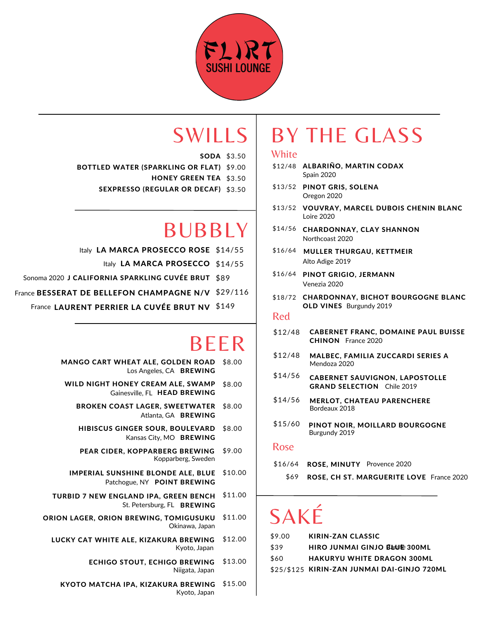

**SODA** \$3.50

- \$9.00 BOTTLED WATER (SPARKLING OR FLAT)
	- **HONEY GREEN TEA** \$3.50
	- SEXPRESSO (REGULAR OR DECAF) \$3.50

## BUBBLY

- Italy LA MARCA PROSECCO ROSE \$14/55
- Italy LA MARCA PROSECCO \$14/55
- Sonoma 2020 J CALIFORNIA SPARKLING CUVÉE BRUT \$89
- France BESSERAT DE BELLEFON CHAMPAGNE N/V \$29/116
	- France LAURENT PERRIER LA CUVÉE BRUT NV \$149

### BEER

- MANGO CART WHEAT ALE, GOLDEN ROAD \$8.00 Los Angeles, CA BREWING
- \$8.00 WILD NIGHT HONEY CREAM ALE, SWAMP Gainesville, FL HEAD BREWING
	- \$8.00 BROKEN COAST LAGER, SWEETWATER Atlanta, GA BREWING
	- \$8.00 HIBISCUS GINGER SOUR, BOULEVARD Kansas City, MO BREWING
	- PEAR CIDER, KOPPARBERG BREWING \$9.00 Kopparberg, Sweden
	- IMPERIAL SUNSHINE BLONDE ALE, BLUE \$10.00 Patchogue, NY POINT BREWING
- \$11.00 TURBID 7 NEW ENGLAND IPA, GREEN BENCH St. Petersburg, FL BREWING
- ORION LAGER, ORION BREWING, TOMIGUSUKU \$11.00 Okinawa, Japan
	- \$12.00 LUCKY CAT WHITE ALE, KIZAKURA BREWING Kyoto, Japan
		- \$13.00 ECHIGO STOUT, ECHIGO BREWING Niigata, Japan
		- KYOTO MATCHA IPA, KIZAKURA BREWING \$15.00 Kyoto, Japan

### SWILLS | BY THE GLASS

### **White**

- \$12/48 **ALBARINO, MARTIN CODAX** Spain 2020
- \$13/52 PINOT GRIS, SOLENA Oregon 2020
- \$13/52 VOUVRAY, MARCEL DUBOIS CHENIN BLANC Loire 2020
- \$14/56 CHARDONNAY, CLAY SHANNON Northcoast 2020
- MULLER THURGAU, KETTMEIR \$16/64 Alto Adige 2019
- \$16/64 PINOT GRIGIO, JERMANN Venezia 2020
- \$18/72 CHARDONNAY, BICHOT BOURGOGNE BLANC OLD VINES Burgundy 2019

#### Red

- CABERNET FRANC, DOMAINE PAUL BUISSE CHINON France 2020 \$12/48
- MALBEC, FAMILIA ZUCCARDI SERIES A Mendoza 2020 \$12/48
- CABERNET SAUVIGNON, LAPOSTOLLE GRAND SELECTION Chile 2019 \$14/56
- MERLOT, CHATEAU PARENCHERE Bordeaux 2018 \$14/56
- PINOT NOIR, MOILLARD BOURGOGNE Burgundy 2019 \$15/60

#### Rose

- \$16/64 ROSE, MINUTY Provence 2020
	- \$69 ROSE, CH ST. MARGUERITE LOVE France 2020

# SAKÉ

| \$9.00 | KIRIN-ZAN CLASSIC                           |
|--------|---------------------------------------------|
| \$39   | <b>HIRO JUNMAI GINJO BAILLE 300ML</b>       |
| \$60   | <b>HAKURYU WHITE DRAGON 300ML</b>           |
|        | \$25/\$125 KIRIN-ZAN JUNMAI DAI-GINJO 720ML |